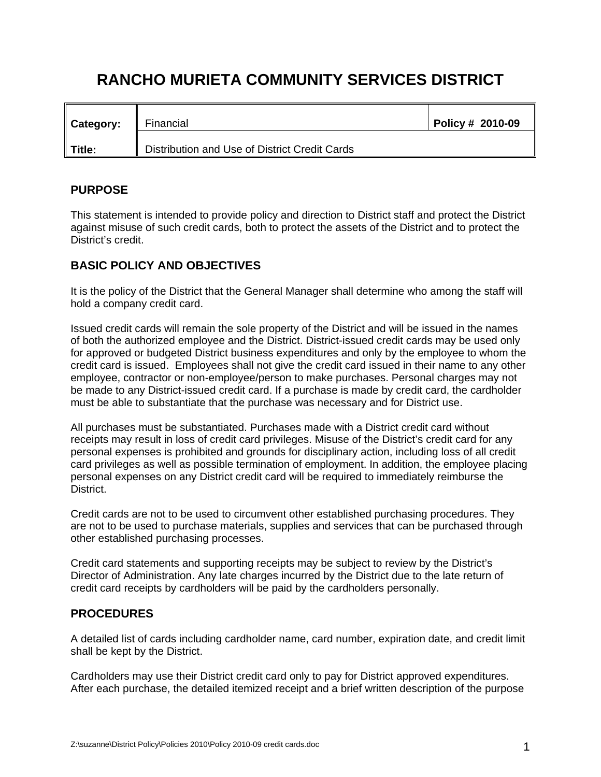## **RANCHO MURIETA COMMUNITY SERVICES DISTRICT**

| <b>Category:</b> | Financial<br>$\mathbf l$                      | Policy # 2010-09 |
|------------------|-----------------------------------------------|------------------|
| Title:           | Distribution and Use of District Credit Cards |                  |

## **PURPOSE**

This statement is intended to provide policy and direction to District staff and protect the District against misuse of such credit cards, both to protect the assets of the District and to protect the District's credit.

## **BASIC POLICY AND OBJECTIVES**

It is the policy of the District that the General Manager shall determine who among the staff will hold a company credit card.

Issued credit cards will remain the sole property of the District and will be issued in the names of both the authorized employee and the District. District-issued credit cards may be used only for approved or budgeted District business expenditures and only by the employee to whom the credit card is issued. Employees shall not give the credit card issued in their name to any other employee, contractor or non-employee/person to make purchases. Personal charges may not be made to any District-issued credit card. If a purchase is made by credit card, the cardholder must be able to substantiate that the purchase was necessary and for District use.

All purchases must be substantiated. Purchases made with a District credit card without receipts may result in loss of credit card privileges. Misuse of the District's credit card for any personal expenses is prohibited and grounds for disciplinary action, including loss of all credit card privileges as well as possible termination of employment. In addition, the employee placing personal expenses on any District credit card will be required to immediately reimburse the District.

Credit cards are not to be used to circumvent other established purchasing procedures. They are not to be used to purchase materials, supplies and services that can be purchased through other established purchasing processes.

Credit card statements and supporting receipts may be subject to review by the District's Director of Administration. Any late charges incurred by the District due to the late return of credit card receipts by cardholders will be paid by the cardholders personally.

## **PROCEDURES**

A detailed list of cards including cardholder name, card number, expiration date, and credit limit shall be kept by the District.

Cardholders may use their District credit card only to pay for District approved expenditures. After each purchase, the detailed itemized receipt and a brief written description of the purpose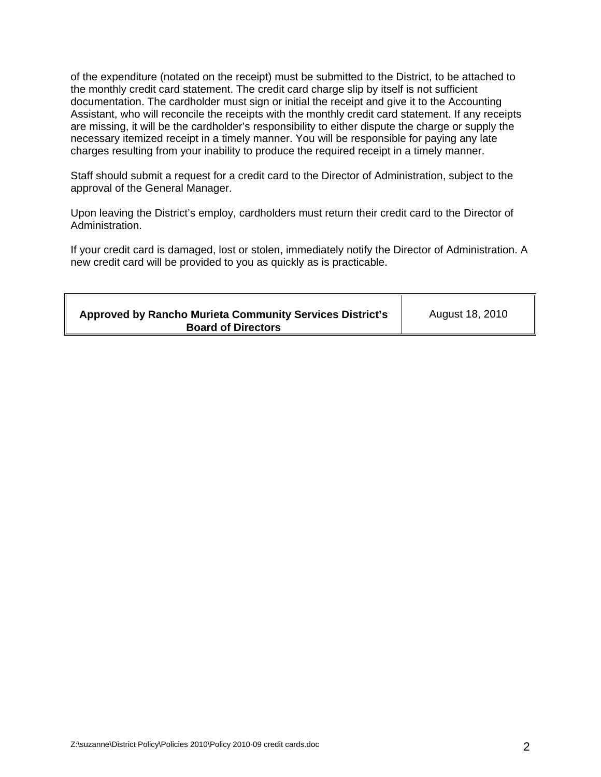of the expenditure (notated on the receipt) must be submitted to the District, to be attached to the monthly credit card statement. The credit card charge slip by itself is not sufficient documentation. The cardholder must sign or initial the receipt and give it to the Accounting Assistant, who will reconcile the receipts with the monthly credit card statement. If any receipts are missing, it will be the cardholder's responsibility to either dispute the charge or supply the necessary itemized receipt in a timely manner. You will be responsible for paying any late charges resulting from your inability to produce the required receipt in a timely manner.

Staff should submit a request for a credit card to the Director of Administration, subject to the approval of the General Manager.

Upon leaving the District's employ, cardholders must return their credit card to the Director of Administration.

If your credit card is damaged, lost or stolen, immediately notify the Director of Administration. A new credit card will be provided to you as quickly as is practicable.

| <b>Approved by Rancho Murieta Community Services District's</b><br><b>Board of Directors</b> | August 18, 2010 |
|----------------------------------------------------------------------------------------------|-----------------|
|----------------------------------------------------------------------------------------------|-----------------|